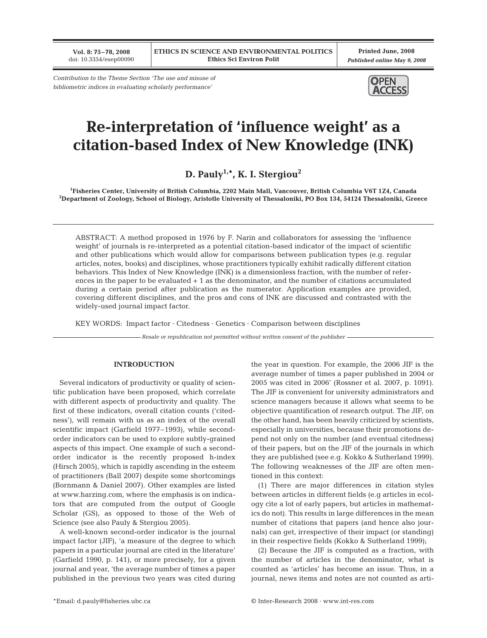**Vol. 8: 75–78, 2008** doi: 10.3354/esep00090

**Printed June, 2008** *Published online May 9, 2008*

*Contribution to the Theme Section 'The use and misuse of bibliometric indices in evaluating scholarly performance'*



# **Re-interpretation of 'influence weight' as a citation-based Index of New Knowledge (INK)**

**D. Pauly1,\*, K. I. Stergiou2**

**1 Fisheries Center, University of British Columbia, 2202 Main Mall, Vancouver, British Columbia V6T 1Z4, Canada 2 Department of Zoology, School of Biology, Aristotle University of Thessaloniki, PO Box 134, 54124 Thessaloniki, Greece**

ABSTRACT: A method proposed in 1976 by F. Narin and collaborators for assessing the 'influence weight' of journals is re-interpreted as a potential citation-based indicator of the impact of scientific and other publications which would allow for comparisons between publication types (e.g. regular articles, notes, books) and disciplines, whose practitioners typically exhibit radically different citation behaviors. This Index of New Knowledge (INK) is a dimensionless fraction, with the number of references in the paper to be evaluated + 1 as the denominator, and the number of citations accumulated during a certain period after publication as the numerator. Application examples are provided, covering different disciplines, and the pros and cons of INK are discussed and contrasted with the widely-used journal impact factor.

KEY WORDS: Impact factor · Citedness · Genetics · Comparison between disciplines

*Resale or republication not permitted without written consent of the publisher*

### **INTRODUCTION**

Several indicators of productivity or quality of scientific publication have been proposed, which correlate with different aspects of productivity and quality. The first of these indicators, overall citation counts ('citedness'), will remain with us as an index of the overall scientific impact (Garfield 1977–1993), while secondorder indicators can be used to explore subtly-grained aspects of this impact. One example of such a secondorder indicator is the recently proposed h-index (Hirsch 2005), which is rapidly ascending in the esteem of practitioners (Ball 2007) despite some shortcomings (Bornmann & Daniel 2007). Other examples are listed at www.harzing.com, where the emphasis is on indicators that are computed from the output of Google Scholar (GS), as opposed to those of the Web of Science (see also Pauly & Stergiou 2005).

A well-known second-order indicator is the journal impact factor (JIF), 'a measure of the degree to which papers in a particular journal are cited in the literature' (Garfield 1990, p. 141), or more precisely, for a given journal and year, 'the average number of times a paper published in the previous two years was cited during

the year in question. For example, the 2006 JIF is the average number of times a paper published in 2004 or 2005 was cited in 2006' (Rossner et al. 2007, p. 1091). The JIF is convenient for university administrators and science managers because it allows what seems to be objective quantification of research output. The JIF, on the other hand, has been heavily criticized by scientists, especially in universities, because their promotions depend not only on the number (and eventual citedness) of their papers, but on the JIF of the journals in which they are published (see e.g. Kokko & Sutherland 1999). The following weaknesses of the JIF are often mentioned in this context:

(1) There are major differences in citation styles between articles in different fields (e.g articles in ecology cite a lot of early papers, but articles in mathematics do not). This results in large differences in the mean number of citations that papers (and hence also journals) can get, irrespective of their impact (or standing) in their respective fields (Kokko & Sutherland 1999);

(2) Because the JIF is computed as a fraction, with the number of articles in the denominator, what is counted as 'articles' has become an issue. Thus, in a journal, news items and notes are not counted as arti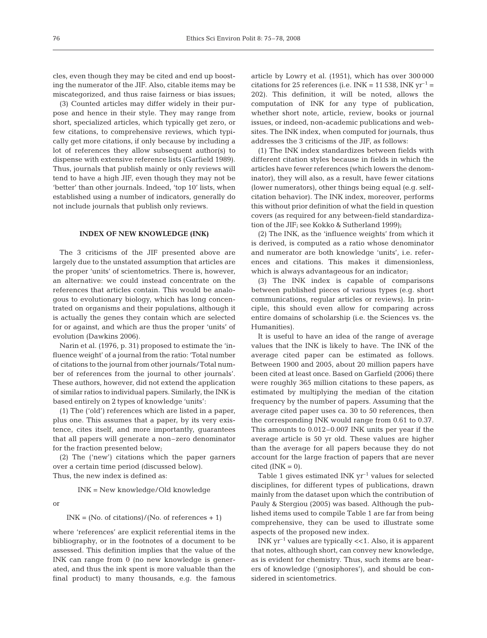cles, even though they may be cited and end up boosting the numerator of the JIF. Also, citable items may be miscategorized, and thus raise fairness or bias issues;

(3) Counted articles may differ widely in their purpose and hence in their style. They may range from short, specialized articles, which typically get zero, or few citations, to comprehensive reviews, which typically get more citations, if only because by including a lot of references they allow subsequent author(s) to dispense with extensive reference lists (Garfield 1989). Thus, journals that publish mainly or only reviews will tend to have a high JIF, even though they may not be 'better' than other journals. Indeed, 'top 10' lists, when established using a number of indicators, generally do not include journals that publish only reviews.

#### **INDEX OF NEW KNOWLEDGE (INK)**

The 3 criticisms of the JIF presented above are largely due to the unstated assumption that articles are the proper 'units' of scientometrics. There is, however, an alternative: we could instead concentrate on the references that articles contain. This would be analogous to evolutionary biology, which has long concentrated on organisms and their populations, although it is actually the genes they contain which are selected for or against, and which are thus the proper 'units' of evolution (Dawkins 2006).

Narin et al. (1976, p. 31) proposed to estimate the 'influence weight' of a journal from the ratio: 'Total number of citations to the journal from other journals/Total number of references from the journal to other journals'. These authors, however, did not extend the application of similar ratios to individual papers. Similarly, the INK is based entirely on 2 types of knowledge 'units':

(1) The ('old') references which are listed in a paper, plus one. This assumes that a paper, by its very existence, cites itself, and more importantly, guarantees that all papers will generate a non–zero denominator for the fraction presented below;

(2) The ('new') citations which the paper garners over a certain time period (discussed below). Thus, the new index is defined as:

INK = New knowledge/Old knowledge

or

## $INK = (No. of citations)/(No. of references + 1)$

where 'references' are explicit referential items in the bibliography, or in the footnotes of a document to be assessed. This definition implies that the value of the INK can range from 0 (no new knowledge is generated, and thus the ink spent is more valuable than the final product) to many thousands, e.g. the famous article by Lowry et al. (1951), which has over 300 000 citations for 25 references (i.e. INK = 11 538, INK  $yr^{-1}$  = 202). This definition, it will be noted, allows the computation of INK for any type of publication, whether short note, article, review, books or journal issues, or indeed, non-academic publications and websites. The INK index, when computed for journals, thus addresses the 3 criticisms of the JIF, as follows:

(1) The INK index standardizes between fields with different citation styles because in fields in which the articles have fewer references (which lowers the denominator), they will also, as a result, have fewer citations (lower numerators), other things being equal (e.g. selfcitation behavior). The INK index, moreover, performs this without prior definition of what the field in question covers (as required for any between-field standardization of the JIF; see Kokko & Sutherland 1999);

(2) The INK, as the 'influence weights' from which it is derived, is computed as a ratio whose denominator and numerator are both knowledge 'units', i.e. references and citations. This makes it dimensionless, which is always advantageous for an indicator;

(3) The INK index is capable of comparisons between published pieces of various types (e.g. short communications, regular articles or reviews). In principle, this should even allow for comparing across entire domains of scholarship (i.e. the Sciences vs. the Humanities).

It is useful to have an idea of the range of average values that the INK is likely to have. The INK of the average cited paper can be estimated as follows. Between 1900 and 2005, about 20 million papers have been cited at least once. Based on Garfield (2006) there were roughly 365 million citations to these papers, as estimated by multiplying the median of the citation frequency by the number of papers. Assuming that the average cited paper uses ca. 30 to 50 references, then the corresponding INK would range from 0.61 to 0.37. This amounts to 0.012–0.007 INK units per year if the average article is 50 yr old. These values are higher than the average for all papers because they do not account for the large fraction of papers that are never  $cited$  ( $INK = 0$ ).

Table 1 gives estimated INK  $yr^{-1}$  values for selected disciplines, for different types of publications, drawn mainly from the dataset upon which the contribution of Pauly & Stergiou (2005) was based. Although the published items used to compile Table 1 are far from being comprehensive, they can be used to illustrate some aspects of the proposed new index.

INK  $yr^{-1}$  values are typically <<1. Also, it is apparent that notes, although short, can convey new knowledge, as is evident for chemistry. Thus, such items are bearers of knowledge ('gnosiphores'), and should be considered in scientometrics.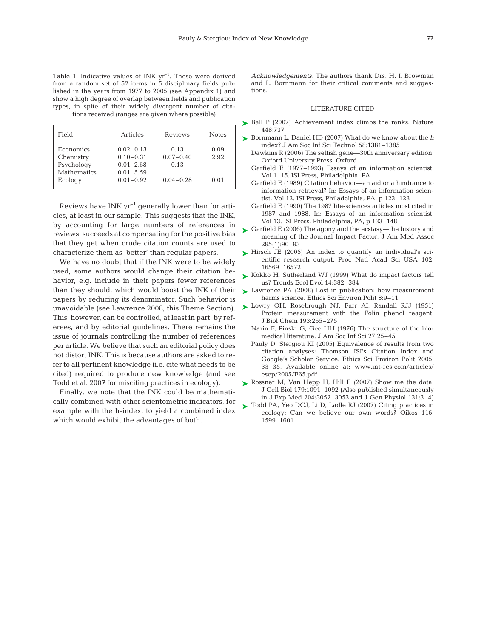| Field       | Articles      | Reviews       | <b>Notes</b> |
|-------------|---------------|---------------|--------------|
| Economics   | $0.02 - 0.13$ | 0.13          | 0.09         |
| Chemistry   | $0.10 - 0.31$ | $0.07 - 0.40$ | 2.92         |
| Psychology  | $0.01 - 2.68$ | 0.13          |              |
| Mathematics | $0.01 - 5.59$ |               |              |
| Ecology     | $0.01 - 0.92$ | $0.04 - 0.28$ | 0.01         |

Reviews have INK  $yr^{-1}$  generally lower than for articles, at least in our sample. This suggests that the INK, by accounting for large numbers of references in reviews, succeeds at compensating for the positive bias that they get when crude citation counts are used to characterize them as 'better' than regular papers.

We have no doubt that if the INK were to be widely used, some authors would change their citation behavior, e.g. include in their papers fewer references than they should, which would boost the INK of their papers by reducing its denominator. Such behavior is unavoidable (see Lawrence 2008, this Theme Section). This, however, can be controlled, at least in part, by referees, and by editorial guidelines. There remains the issue of journals controlling the number of references per article. We believe that such an editorial policy does not distort INK. This is because authors are asked to refer to all pertinent knowledge (i.e. cite what needs to be cited) required to produce new knowledge (and see Todd et al. 2007 for misciting practices in ecology).

Finally, we note that the INK could be mathematically combined with other scientometric indicators, for example with the h-index, to yield a combined index which would exhibit the advantages of both.

*Acknowledgements.* The authors thank Drs. H. I. Browman and L. Bornmann for their critical comments and suggestions.

#### LITERATURE CITED

- ► Ball P (2007) Achievement index climbs the ranks. Nature 448:737
- ► Bornmann L, Daniel HD (2007) What do we know about the *h* index? J Am Soc Inf Sci Technol 58:1381–1385
	- Dawkins R (2006) The selfish gene—30th anniversary edition. Oxford University Press, Oxford
	- Garfield E (1977–1993) Essays of an information scientist, Vol 1–15. ISI Press, Philadelphia, PA
	- Garfield E (1989) Citation behavior—an aid or a hindrance to information retrieval? In: Essays of an information scientist, Vol 12. ISI Press, Philadelphia, PA, p 123–128
	- Garfield E (1990) The 1987 life-sciences articles most cited in 1987 and 1988. In: Essays of an information scientist, Vol 13. ISI Press, Philadelphia, PA, p 133–148
- ► Garfield E (2006) The agony and the ecstasy—the history and meaning of the Journal Impact Factor. J Am Med Assoc 295(1):90–93
- ► Hirsch JE (2005) An index to quantify an individual's scientific research output. Proc Natl Acad Sci USA 102: 16569–16572
- ► Kokko H, Sutherland WJ (1999) What do impact factors tell us? Trends Ecol Evol 14:382–384
- ► Lawrence PA (2008) Lost in publication: how measurement harms science. Ethics Sci Environ Polit 8:9–11
- ▶ Lowry OH, Rosebrough NJ, Farr AI, Randall RJJ (1951) Protein measurement with the Folin phenol reagent. J Biol Chem 193:265–275
	- Narin F, Pinski G, Gee HH (1976) The structure of the biomedical literature. J Am Soc Inf Sci 27:25–45
	- Pauly D, Stergiou KI (2005) Equivalence of results from two citation analyses: Thomson ISI's Citation Index and Google's Scholar Service. Ethics Sci Environ Polit 2005: 33–35. Available online at: www.int-res.com/articles/ esep/2005/E65.pdf
- ▶ Rossner M, Van Hepp H, Hill E (2007) Show me the data. J Cell Biol 179:1091–1092 (Also published simultaneously in J Exp Med 204:3052–3053 and J Gen Physiol 131:3–4)
- ▶ Todd PA, Yeo DCJ, Li D, Ladle RJ (2007) Citing practices in ecology: Can we believe our own words? Oikos 116: 1599–1601